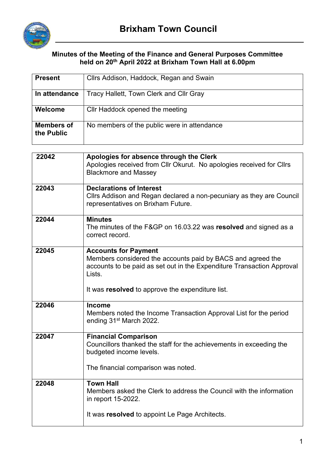

## **Minutes of the Meeting of the Finance and General Purposes Committee held on 20th April 2022 at Brixham Town Hall at 6.00pm**

| <b>Present</b>                  | Cllrs Addison, Haddock, Regan and Swain                                                                                                                                        |  |  |
|---------------------------------|--------------------------------------------------------------------------------------------------------------------------------------------------------------------------------|--|--|
| In attendance                   | Tracy Hallett, Town Clerk and Cllr Gray                                                                                                                                        |  |  |
| Welcome                         | Cllr Haddock opened the meeting                                                                                                                                                |  |  |
| <b>Members of</b><br>the Public | No members of the public were in attendance                                                                                                                                    |  |  |
|                                 |                                                                                                                                                                                |  |  |
| 22042                           | Apologies for absence through the Clerk<br>Apologies received from Cllr Okurut. No apologies received for Cllrs<br><b>Blackmore and Massey</b>                                 |  |  |
| 22043                           | <b>Declarations of Interest</b><br>Cllrs Addison and Regan declared a non-pecuniary as they are Council<br>representatives on Brixham Future.                                  |  |  |
| 22044                           | <b>Minutes</b><br>The minutes of the F&GP on 16.03.22 was resolved and signed as a<br>correct record.                                                                          |  |  |
| 22045                           | <b>Accounts for Payment</b><br>Members considered the accounts paid by BACS and agreed the<br>accounts to be paid as set out in the Expenditure Transaction Approval<br>Lists. |  |  |
|                                 | It was resolved to approve the expenditure list.                                                                                                                               |  |  |
| 22046                           | <b>Income</b><br>Members noted the Income Transaction Approval List for the period<br>ending 31 <sup>st</sup> March 2022.                                                      |  |  |
| 22047                           | <b>Financial Comparison</b><br>Councillors thanked the staff for the achievements in exceeding the<br>budgeted income levels.                                                  |  |  |
|                                 | The financial comparison was noted.                                                                                                                                            |  |  |
| 22048                           | <b>Town Hall</b><br>Members asked the Clerk to address the Council with the information<br>in report 15-2022.<br>It was resolved to appoint Le Page Architects.                |  |  |
|                                 |                                                                                                                                                                                |  |  |

 $\overline{\phantom{a}}$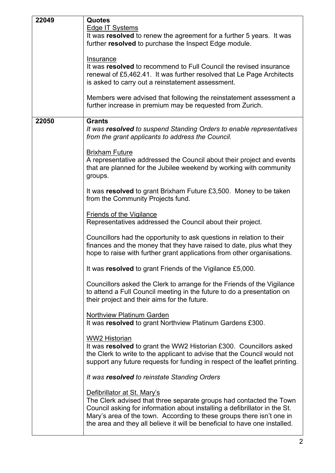| 22049 | <b>Quotes</b>                                                                                                                                                                                                |  |  |
|-------|--------------------------------------------------------------------------------------------------------------------------------------------------------------------------------------------------------------|--|--|
|       | <b>Edge IT Systems</b>                                                                                                                                                                                       |  |  |
|       | It was resolved to renew the agreement for a further 5 years. It was                                                                                                                                         |  |  |
|       | further resolved to purchase the Inspect Edge module.                                                                                                                                                        |  |  |
|       |                                                                                                                                                                                                              |  |  |
|       | Insurance<br>It was resolved to recommend to Full Council the revised insurance<br>renewal of £5,462.41. It was further resolved that Le Page Architects                                                     |  |  |
|       |                                                                                                                                                                                                              |  |  |
|       |                                                                                                                                                                                                              |  |  |
|       | is asked to carry out a reinstatement assessment.                                                                                                                                                            |  |  |
|       |                                                                                                                                                                                                              |  |  |
|       | Members were advised that following the reinstatement assessment a                                                                                                                                           |  |  |
|       | further increase in premium may be requested from Zurich.                                                                                                                                                    |  |  |
|       |                                                                                                                                                                                                              |  |  |
| 22050 | <b>Grants</b>                                                                                                                                                                                                |  |  |
|       | It was resolved to suspend Standing Orders to enable representatives                                                                                                                                         |  |  |
|       | from the grant applicants to address the Council.                                                                                                                                                            |  |  |
|       | <b>Brixham Future</b>                                                                                                                                                                                        |  |  |
|       | A representative addressed the Council about their project and events                                                                                                                                        |  |  |
|       | that are planned for the Jubilee weekend by working with community                                                                                                                                           |  |  |
|       | groups.                                                                                                                                                                                                      |  |  |
|       |                                                                                                                                                                                                              |  |  |
|       | It was resolved to grant Brixham Future £3,500. Money to be taken                                                                                                                                            |  |  |
|       | from the Community Projects fund.                                                                                                                                                                            |  |  |
|       |                                                                                                                                                                                                              |  |  |
|       | <b>Friends of the Vigilance</b>                                                                                                                                                                              |  |  |
|       | Representatives addressed the Council about their project.                                                                                                                                                   |  |  |
|       |                                                                                                                                                                                                              |  |  |
|       | Councillors had the opportunity to ask questions in relation to their                                                                                                                                        |  |  |
|       | finances and the money that they have raised to date, plus what they<br>hope to raise with further grant applications from other organisations.<br>It was resolved to grant Friends of the Vigilance £5,000. |  |  |
|       |                                                                                                                                                                                                              |  |  |
|       |                                                                                                                                                                                                              |  |  |
|       |                                                                                                                                                                                                              |  |  |
|       | Councillors asked the Clerk to arrange for the Friends of the Vigilance                                                                                                                                      |  |  |
|       | to attend a Full Council meeting in the future to do a presentation on<br>their project and their aims for the future.                                                                                       |  |  |
|       |                                                                                                                                                                                                              |  |  |
|       |                                                                                                                                                                                                              |  |  |
|       | <b>Northview Platinum Garden</b>                                                                                                                                                                             |  |  |
|       | It was resolved to grant Northview Platinum Gardens £300.                                                                                                                                                    |  |  |
|       |                                                                                                                                                                                                              |  |  |
|       | <b>WW2 Historian</b>                                                                                                                                                                                         |  |  |
|       | It was resolved to grant the WW2 Historian £300. Councillors asked                                                                                                                                           |  |  |
|       | the Clerk to write to the applicant to advise that the Council would not                                                                                                                                     |  |  |
|       | support any future requests for funding in respect of the leaflet printing.                                                                                                                                  |  |  |
|       | It was resolved to reinstate Standing Orders                                                                                                                                                                 |  |  |
|       |                                                                                                                                                                                                              |  |  |
|       | Defibrillator at St. Mary's                                                                                                                                                                                  |  |  |
|       | The Clerk advised that three separate groups had contacted the Town                                                                                                                                          |  |  |
|       | Council asking for information about installing a defibrillator in the St.                                                                                                                                   |  |  |
|       | Mary's area of the town. According to these groups there isn't one in                                                                                                                                        |  |  |
|       | the area and they all believe it will be beneficial to have one installed.                                                                                                                                   |  |  |